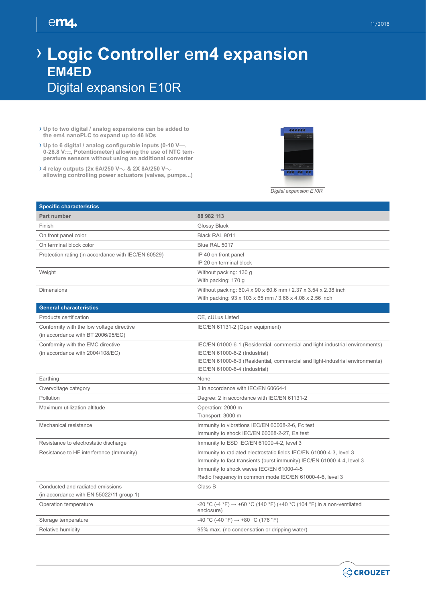## **|** 11/2018

## $em_4$

## › **Logic Controller** e**m4 expansion EM4ED** Digital expansion E10R

- › **Up to two digital / analog expansions can be added to the em4 nanoPLC to expand up to 46 I/Os**
- › **Up to 6 digital / analog configurable inputs (0-10 V**c**,**  0-28.8 V<sub>cc</sub>, Potentiometer) allowing the use of NTC tem**perature sensors without using an additional converter**
- › **4 relay outputs (2x 6A/250 V**a **& 2X 8A/250 V**a **allowing controlling power actuators (valves, pumps...)**



*Digital expansion E10R*

| <b>Specific characteristics</b>                     |                                                                                                 |
|-----------------------------------------------------|-------------------------------------------------------------------------------------------------|
| Part number                                         | 88 982 113                                                                                      |
| Finish                                              | Glossy Black                                                                                    |
| On front panel color                                | Black RAL 9011                                                                                  |
| On terminal block color                             | Blue RAL 5017                                                                                   |
| Protection rating (in accordance with IEC/EN 60529) | IP 40 on front panel                                                                            |
|                                                     | IP 20 on terminal block                                                                         |
| Weight                                              | Without packing: 130 g                                                                          |
|                                                     | With packing: 170 g                                                                             |
| <b>Dimensions</b>                                   | Without packing: 60.4 x 90 x 60.6 mm / 2.37 x 3.54 x 2.38 inch                                  |
|                                                     | With packing: 93 x 103 x 65 mm / 3.66 x 4.06 x 2.56 inch                                        |
| <b>General characteristics</b>                      |                                                                                                 |
| Products certification                              | CE, cULus Listed                                                                                |
| Conformity with the low voltage directive           | IEC/EN 61131-2 (Open equipment)                                                                 |
| (in accordance with BT 2006/95/EC)                  |                                                                                                 |
| Conformity with the EMC directive                   | IEC/EN 61000-6-1 (Residential, commercial and light-industrial environments)                    |
| (in accordance with 2004/108/EC)                    | IEC/EN 61000-6-2 (Industrial)                                                                   |
|                                                     | IEC/EN 61000-6-3 (Residential, commercial and light-industrial environments)                    |
|                                                     | IEC/EN 61000-6-4 (Industrial)                                                                   |
| Earthing                                            | None                                                                                            |
| Overvoltage category                                | 3 in accordance with IEC/EN 60664-1                                                             |
| Pollution                                           | Degree: 2 in accordance with IEC/EN 61131-2                                                     |
| Maximum utilization altitude                        | Operation: 2000 m                                                                               |
|                                                     | Transport: 3000 m                                                                               |
| Mechanical resistance                               | Immunity to vibrations IEC/EN 60068-2-6, Fc test                                                |
|                                                     | Immunity to shock IEC/EN 60068-2-27, Ea test                                                    |
| Resistance to electrostatic discharge               | Immunity to ESD IEC/EN 61000-4-2, level 3                                                       |
| Resistance to HF interference (Immunity)            | Immunity to radiated electrostatic fields IEC/EN 61000-4-3, level 3                             |
|                                                     | Immunity to fast transients (burst immunity) IEC/EN 61000-4-4, level 3                          |
|                                                     | Immunity to shock waves IEC/EN 61000-4-5                                                        |
|                                                     | Radio frequency in common mode IEC/EN 61000-4-6, level 3                                        |
| Conducted and radiated emissions                    | Class B                                                                                         |
| (in accordance with EN 55022/11 group 1)            |                                                                                                 |
| Operation temperature                               | -20 °C (-4 °F) $\rightarrow$ +60 °C (140 °F) (+40 °C (104 °F) in a non-ventilated<br>enclosure) |
| Storage temperature                                 | $-40$ °C (-40 °F) $\rightarrow$ +80 °C (176 °F)                                                 |
| Relative humidity                                   | 95% max. (no condensation or dripping water)                                                    |

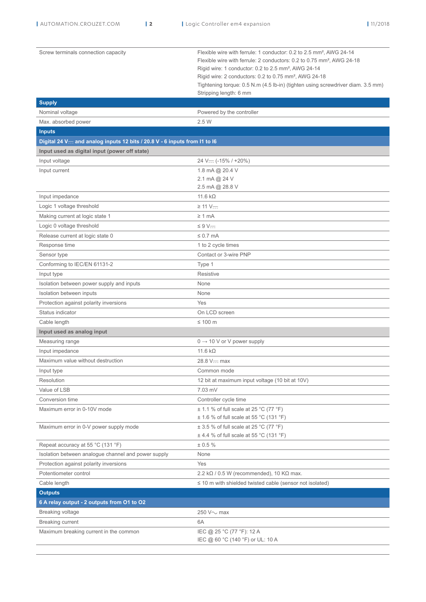| Screw terminals connection capacity                                       | Flexible wire with ferrule: 1 conductor: 0.2 to 2.5 mm <sup>2</sup> , AWG 24-14<br>Flexible wire with ferrule: 2 conductors: 0.2 to 0.75 mm <sup>2</sup> , AWG 24-18<br>Rigid wire: 1 conductor: 0.2 to 2.5 mm <sup>2</sup> , AWG 24-14<br>Rigid wire: 2 conductors: 0.2 to 0.75 mm <sup>2</sup> , AWG 24-18<br>Tightening torque: 0.5 N.m (4.5 lb-in) (tighten using screwdriver diam. 3.5 mm) |
|---------------------------------------------------------------------------|-------------------------------------------------------------------------------------------------------------------------------------------------------------------------------------------------------------------------------------------------------------------------------------------------------------------------------------------------------------------------------------------------|
|                                                                           | Stripping length: 6 mm                                                                                                                                                                                                                                                                                                                                                                          |
| <b>Supply</b>                                                             |                                                                                                                                                                                                                                                                                                                                                                                                 |
| Nominal voltage                                                           | Powered by the controller                                                                                                                                                                                                                                                                                                                                                                       |
| Max. absorbed power                                                       | 2.5 W                                                                                                                                                                                                                                                                                                                                                                                           |
| <b>Inputs</b>                                                             |                                                                                                                                                                                                                                                                                                                                                                                                 |
| Digital 24 V— and analog inputs 12 bits / 20.8 V - 6 inputs from I1 to I6 |                                                                                                                                                                                                                                                                                                                                                                                                 |
| Input used as digital input (power off state)                             |                                                                                                                                                                                                                                                                                                                                                                                                 |
| Input voltage                                                             | $24 V = (-15\% / +20\%)$                                                                                                                                                                                                                                                                                                                                                                        |
| Input current                                                             | 1.8 mA @ 20.4 V                                                                                                                                                                                                                                                                                                                                                                                 |
|                                                                           | 2.1 mA @ 24 V<br>2.5 mA @ 28.8 V                                                                                                                                                                                                                                                                                                                                                                |
|                                                                           | 11.6 $k\Omega$                                                                                                                                                                                                                                                                                                                                                                                  |
| Input impedance                                                           |                                                                                                                                                                                                                                                                                                                                                                                                 |
| Logic 1 voltage threshold                                                 | $\geq$ 11 V—                                                                                                                                                                                                                                                                                                                                                                                    |
| Making current at logic state 1                                           | $\geq 1$ mA                                                                                                                                                                                                                                                                                                                                                                                     |
| Logic 0 voltage threshold                                                 | $\leq 9$ V—                                                                                                                                                                                                                                                                                                                                                                                     |
| Release current at logic state 0                                          | $\leq 0.7$ mA                                                                                                                                                                                                                                                                                                                                                                                   |
| Response time                                                             | 1 to 2 cycle times                                                                                                                                                                                                                                                                                                                                                                              |
| Sensor type                                                               | Contact or 3-wire PNP                                                                                                                                                                                                                                                                                                                                                                           |
| Conforming to IEC/EN 61131-2                                              | Type 1                                                                                                                                                                                                                                                                                                                                                                                          |
| Input type                                                                | Resistive                                                                                                                                                                                                                                                                                                                                                                                       |
| Isolation between power supply and inputs                                 | None                                                                                                                                                                                                                                                                                                                                                                                            |
| Isolation between inputs                                                  | None                                                                                                                                                                                                                                                                                                                                                                                            |
| Protection against polarity inversions                                    | Yes                                                                                                                                                                                                                                                                                                                                                                                             |
| Status indicator                                                          | On LCD screen                                                                                                                                                                                                                                                                                                                                                                                   |
| Cable length                                                              | ≤ 100 $m$                                                                                                                                                                                                                                                                                                                                                                                       |
| Input used as analog input                                                |                                                                                                                                                                                                                                                                                                                                                                                                 |
| Measuring range                                                           | $0 \rightarrow 10$ V or V power supply                                                                                                                                                                                                                                                                                                                                                          |
| Input impedance                                                           | 11.6 $k\Omega$                                                                                                                                                                                                                                                                                                                                                                                  |
| Maximum value without destruction                                         | 28.8 V $-$ max                                                                                                                                                                                                                                                                                                                                                                                  |
| Input type                                                                | Common mode                                                                                                                                                                                                                                                                                                                                                                                     |
| Resolution                                                                | 12 bit at maximum input voltage (10 bit at 10V)                                                                                                                                                                                                                                                                                                                                                 |
| Value of LSB                                                              | 7.03 mV                                                                                                                                                                                                                                                                                                                                                                                         |
| Conversion time                                                           | Controller cycle time                                                                                                                                                                                                                                                                                                                                                                           |
| Maximum error in 0-10V mode                                               | $\pm$ 1.1 % of full scale at 25 °C (77 °F)                                                                                                                                                                                                                                                                                                                                                      |
|                                                                           | $\pm$ 1.6 % of full scale at 55 °C (131 °F)                                                                                                                                                                                                                                                                                                                                                     |
| Maximum error in 0-V power supply mode                                    | $\pm$ 3.5 % of full scale at 25 °C (77 °F)                                                                                                                                                                                                                                                                                                                                                      |
|                                                                           | $\pm$ 4.4 % of full scale at 55 °C (131 °F)                                                                                                                                                                                                                                                                                                                                                     |
| Repeat accuracy at 55 °C (131 °F)                                         | ± 0.5 %                                                                                                                                                                                                                                                                                                                                                                                         |
| Isolation between analogue channel and power supply                       | None                                                                                                                                                                                                                                                                                                                                                                                            |
| Protection against polarity inversions                                    | Yes                                                                                                                                                                                                                                                                                                                                                                                             |
| Potentiometer control                                                     | 2.2 k $\Omega$ / 0.5 W (recommended), 10 K $\Omega$ max.                                                                                                                                                                                                                                                                                                                                        |
| Cable length                                                              | $\leq$ 10 m with shielded twisted cable (sensor not isolated)                                                                                                                                                                                                                                                                                                                                   |
| <b>Outputs</b>                                                            |                                                                                                                                                                                                                                                                                                                                                                                                 |
| 6 A relay output - 2 outputs from O1 to O2                                |                                                                                                                                                                                                                                                                                                                                                                                                 |
| Breaking voltage                                                          | 250 V $\sim$ max                                                                                                                                                                                                                                                                                                                                                                                |
| <b>Breaking current</b>                                                   | 6A                                                                                                                                                                                                                                                                                                                                                                                              |
| Maximum breaking current in the common                                    | IEC @ 25 °C (77 °F): 12 A                                                                                                                                                                                                                                                                                                                                                                       |
|                                                                           | IEC @ 60 °C (140 °F) or UL: 10 A                                                                                                                                                                                                                                                                                                                                                                |
|                                                                           |                                                                                                                                                                                                                                                                                                                                                                                                 |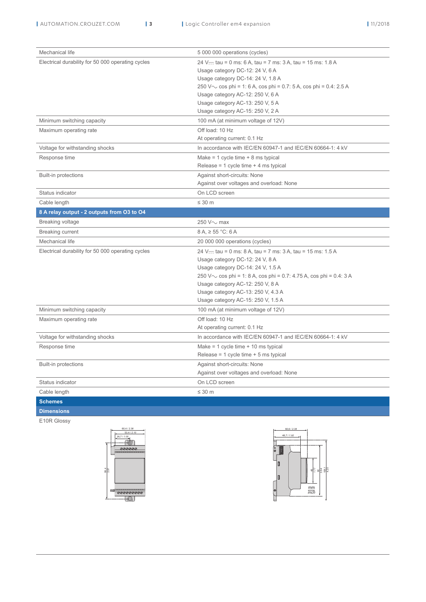| Mechanical life                                   | 5 000 000 operations (cycles)                                            |
|---------------------------------------------------|--------------------------------------------------------------------------|
| Electrical durability for 50 000 operating cycles | 24 V <sub>zzz</sub> tau = 0 ms: 6 A, tau = 7 ms: 3 A, tau = 15 ms: 1.8 A |
|                                                   | Usage category DC-12: 24 V, 6 A                                          |
|                                                   | Usage category DC-14: 24 V, 1.8 A                                        |
|                                                   | 250 V $\sim$ cos phi = 1: 6 A, cos phi = 0.7: 5 A, cos phi = 0.4: 2.5 A  |
|                                                   | Usage category AC-12: 250 V, 6 A                                         |
|                                                   | Usage category AC-13: 250 V, 5 A                                         |
|                                                   | Usage category AC-15: 250 V, 2 A                                         |
| Minimum switching capacity                        | 100 mA (at minimum voltage of 12V)                                       |
| Maximum operating rate                            | Off load: 10 Hz                                                          |
|                                                   | At operating current: 0.1 Hz                                             |
| Voltage for withstanding shocks                   | In accordance with IEC/EN 60947-1 and IEC/EN 60664-1: 4 kV               |
| Response time                                     | Make = 1 cycle time $+ 8$ ms typical                                     |
|                                                   | Release = 1 cycle time $+$ 4 ms typical                                  |
| <b>Built-in protections</b>                       | Against short-circuits: None                                             |
|                                                   | Against over voltages and overload: None                                 |
| Status indicator                                  | On LCD screen                                                            |
| Cable length                                      | $\leq 30$ m                                                              |
| 8 A relay output - 2 outputs from O3 to O4        |                                                                          |
| <b>Breaking voltage</b>                           | 250 V $\sim$ max                                                         |
| Breaking current                                  | $8 A$ , $\geq 55$ °C: 6 A                                                |
| Mechanical life                                   | 20 000 000 operations (cycles)                                           |
| Electrical durability for 50 000 operating cycles | 24 V— tau = 0 ms: 8 A, tau = 7 ms: 3 A, tau = 15 ms: 1.5 A               |
|                                                   | Usage category DC-12: 24 V, 8 A                                          |
|                                                   | Usage category DC-14: 24 V, 1.5 A                                        |
|                                                   | 250 V $\sim$ cos phi = 1: 8 A, cos phi = 0.7: 4.75 A, cos phi = 0.4: 3 A |
|                                                   | Usage category AC-12: 250 V, 8 A                                         |
|                                                   | Usage category AC-13: 250 V, 4.3 A                                       |
|                                                   | Usage category AC-15: 250 V, 1.5 A                                       |
| Minimum switching capacity                        | 100 mA (at minimum voltage of 12V)                                       |
| Maximum operating rate                            | Off load: 10 Hz                                                          |
|                                                   | At operating current: 0.1 Hz                                             |
| Voltage for withstanding shocks                   | In accordance with IEC/EN 60947-1 and IEC/EN 60664-1: 4 kV               |
| Response time                                     | Make = 1 cycle time $+$ 10 ms typical                                    |
|                                                   | Release = $1$ cycle time + $5$ ms typical                                |
| Built-in protections                              | Against short-circuits: None                                             |
|                                                   | Against over voltages and overload: None                                 |
| Status indicator                                  | On LCD screen                                                            |
| Cable length                                      | $\leq 30$ m                                                              |
| <b>Schemes</b>                                    |                                                                          |
| <b>Dimensions</b>                                 |                                                                          |

E10R Glossy